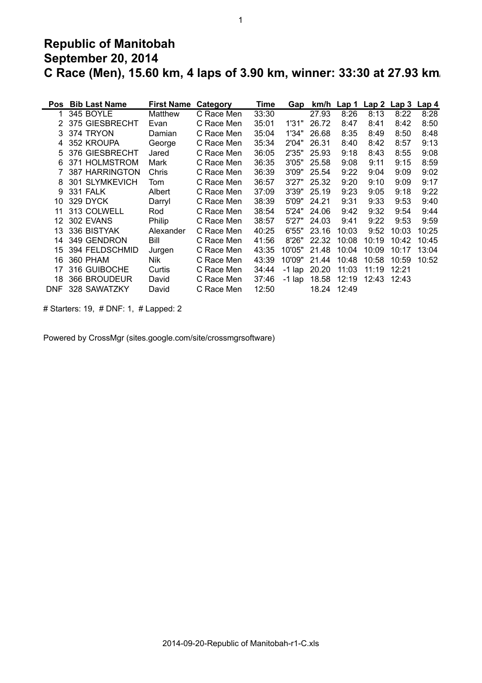## **Republic of Manitobah September 20, 2014 C Race (Men), 15.60 km, 4 laps of 3.90 km, winner: 33:30 at 27.93 km/h**

| Pos        | <b>Bib Last Name</b>     | <b>First Name</b> | Category   | Time  | Gap      |       | $km/h$ Lap 1 | Lap <sub>2</sub> | Lap 3 Lap 4 |       |
|------------|--------------------------|-------------------|------------|-------|----------|-------|--------------|------------------|-------------|-------|
|            | 345 BOYLE                | Matthew           | C Race Men | 33:30 |          | 27.93 | 8:26         | 8:13             | 8:22        | 8:28  |
| 2          | 375 GIESBRECHT           | Evan              | C Race Men | 35:01 | 1'31"    | 26.72 | 8:47         | 8:41             | 8:42        | 8:50  |
| 3          | 374 TRYON                | Damian            | C Race Men | 35:04 | 1'34"    | 26.68 | 8:35         | 8:49             | 8:50        | 8:48  |
| 4          | 352 KROUPA               | George            | C Race Men | 35:34 | 2'04"    | 26.31 | 8:40         | 8:42             | 8:57        | 9:13  |
| 5          | 376 GIESBRECHT           | Jared             | C Race Men | 36:05 | 2'35"    | 25.93 | 9:18         | 8:43             | 8:55        | 9:08  |
| 6          | 371 HOLMSTROM            | Mark              | C Race Men | 36:35 | 3'05"    | 25.58 | 9:08         | 9:11             | 9:15        | 8:59  |
|            | 387 HARRINGTON           | Chris             | C Race Men | 36:39 | 3'09"    | 25.54 | 9:22         | 9:04             | 9:09        | 9:02  |
| 8          | <b>SLYMKEVICH</b><br>301 | Tom               | C Race Men | 36:57 | 3'27"    | 25.32 | 9:20         | 9:10             | 9:09        | 9:17  |
| 9          | <b>331 FALK</b>          | Albert            | C Race Men | 37:09 | 3'39"    | 25.19 | 9:23         | 9:05             | 9:18        | 9:22  |
| 10         | 329 DYCK                 | Darryl            | C Race Men | 38:39 | 5'09"    | 24.21 | 9:31         | 9:33             | 9:53        | 9:40  |
| 11         | 313 COLWELL              | Rod               | C Race Men | 38:54 | 5'24"    | 24.06 | 9:42         | 9:32             | 9:54        | 9:44  |
| 12         | 302 EVANS                | Philip            | C Race Men | 38:57 | 5'27"    | 24.03 | 9:41         | 9:22             | 9:53        | 9:59  |
| 13         | 336 BISTYAK              | Alexander         | C Race Men | 40:25 | 6'55"    | 23.16 | 10:03        | 9:52             | 10:03       | 10:25 |
| 14         | 349 GENDRON              | Bill              | C Race Men | 41:56 | 8'26"    | 22.32 | 10:08        | 10:19            | 10:42       | 10:45 |
| 15         | 394 FELDSCHMID           | Jurgen            | C Race Men | 43:35 | 10'05"   | 21.48 | 10:04        | 10:09            | 10:17       | 13:04 |
| 16         | 360 PHAM                 | Nik               | C Race Men | 43:39 | 10'09"   | 21.44 | 10:48        | 10:58            | 10:59       | 10:52 |
| 17         | 316 GUIBOCHE             | Curtis            | C Race Men | 34:44 | $-1$ lap | 20.20 | 11:03        | 11:19            | 12:21       |       |
| 18         | 366 BROUDEUR             | David             | C Race Men | 37:46 | $-1$ lap | 18.58 | 12:19        | 12:43            | 12:43       |       |
| <b>DNF</b> | 328 SAWATZKY             | David             | C Race Men | 12:50 |          | 18.24 | 12:49        |                  |             |       |

# Starters: 19, # DNF: 1, # Lapped: 2

Powered by CrossMgr (sites.google.com/site/crossmgrsoftware)